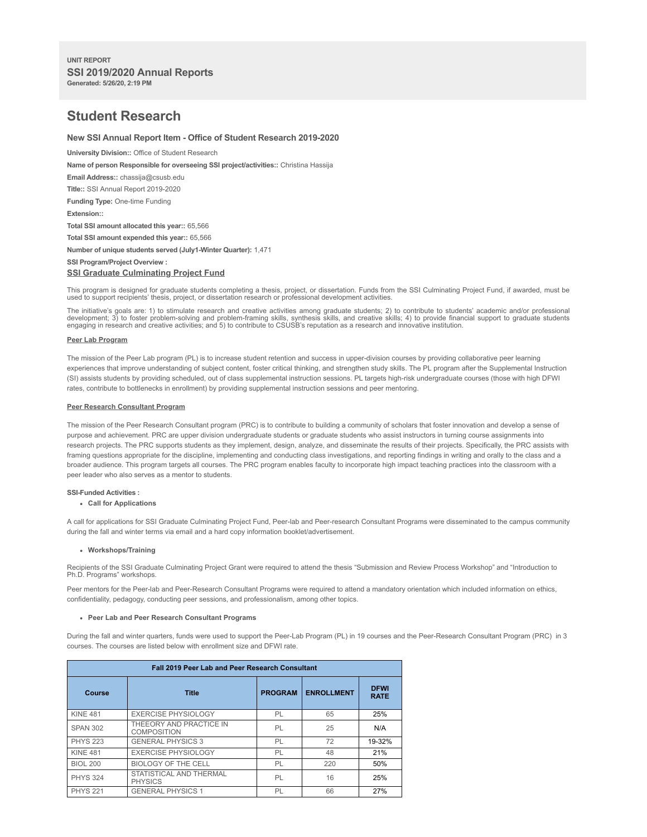# **Student Research**

# **New SSI Annual Report Item - Office of Student Research 2019-2020**

**University Division::** Office of Student Research

**Name of person Responsible for overseeing SSI project/activities::** Christina Hassija

**Email Address::** chassija@csusb.edu

**Title::** SSI Annual Report 2019-2020

**Funding Type:** One-time Funding

**Extension::**

**Total SSI amount allocated this year::** 65,566

**Total SSI amount expended this year::** 65,566

**Number of unique students served (July1-Winter Quarter):** 1,471

```
SSI Program/Project Overview :
```
# **SSI Graduate Culminating Project Fund**

This program is designed for graduate students completing a thesis, project, or dissertation. Funds from the SSI Culminating Project Fund, if awarded, must be used to support recipients' thesis, project, or dissertation research or professional development activities.

The initiative's goals are: 1) to stimulate research and creative activities among graduate students; 2) to contribute to students' academic and/or professional<br>development; 3) to foster problem-solving and problem-framing

## **Peer Lab Program**

The mission of the Peer Lab program (PL) is to increase student retention and success in upper-division courses by providing collaborative peer learning experiences that improve understanding of subject content, foster critical thinking, and strengthen study skills. The PL program after the Supplemental Instruction (SI) assists students by providing scheduled, out of class supplemental instruction sessions. PL targets high-risk undergraduate courses (those with high DFWI rates, contribute to bottlenecks in enrollment) by providing supplemental instruction sessions and peer mentoring.

## **Peer Research Consultant Program**

The mission of the Peer Research Consultant program (PRC) is to contribute to building a community of scholars that foster innovation and develop a sense of purpose and achievement. PRC are upper division undergraduate students or graduate students who assist instructors in turning course assignments into research projects. The PRC supports students as they implement, design, analyze, and disseminate the results of their projects. Specifically, the PRC assists with framing questions appropriate for the discipline, implementing and conducting class investigations, and reporting findings in writing and orally to the class and a broader audience. This program targets all courses. The PRC program enables faculty to incorporate high impact teaching practices into the classroom with a peer leader who also serves as a mentor to students.

# **SSI-Funded Activities :**

#### **Call for Applications**

A call for applications for SSI Graduate Culminating Project Fund, Peer-lab and Peer-research Consultant Programs were disseminated to the campus community during the fall and winter terms via email and a hard copy information booklet/advertisement.

## **Workshops/Training**

Recipients of the SSI Graduate Culminating Project Grant were required to attend the thesis "Submission and Review Process Workshop" and "Introduction to Ph.D. Programs" workshops.

Peer mentors for the Peer-lab and Peer-Research Consultant Programs were required to attend a mandatory orientation which included information on ethics, confidentiality, pedagogy, conducting peer sessions, and professionalism, among other topics.

#### **Peer Lab and Peer Research Consultant Programs**

During the fall and winter quarters, funds were used to support the Peer-Lab Program (PL) in 19 courses and the Peer-Research Consultant Program (PRC) in 3 courses. The courses are listed below with enrollment size and DFWI rate.

| Fall 2019 Peer Lab and Peer Research Consultant |                                               |                |                   |                            |  |  |
|-------------------------------------------------|-----------------------------------------------|----------------|-------------------|----------------------------|--|--|
| Course                                          | <b>Title</b>                                  | <b>PROGRAM</b> | <b>ENROLLMENT</b> | <b>DFWI</b><br><b>RATE</b> |  |  |
| <b>KINE 481</b>                                 | <b>EXERCISE PHYSIOLOGY</b>                    | PL             | 65                | 25%                        |  |  |
| <b>SPAN 302</b>                                 | THEEORY AND PRACTICE IN<br><b>COMPOSITION</b> | PL             | 25                | N/A                        |  |  |
| <b>PHYS 223</b>                                 | <b>GENERAL PHYSICS 3</b>                      | PL             | 72                | 19-32%                     |  |  |
| <b>KINE 481</b>                                 | <b>EXERCISE PHYSIOLOGY</b>                    | PL             | 48                | 21%                        |  |  |
| <b>BIOL 200</b>                                 | BIOLOGY OF THE CELL                           | PL             | 220               | 50%                        |  |  |
| <b>PHYS 324</b>                                 | STATISTICAL AND THERMAL<br><b>PHYSICS</b>     | PL             | 16                | 25%                        |  |  |
| <b>PHYS 221</b>                                 | <b>GENERAL PHYSICS 1</b>                      | PL             | 66                | 27%                        |  |  |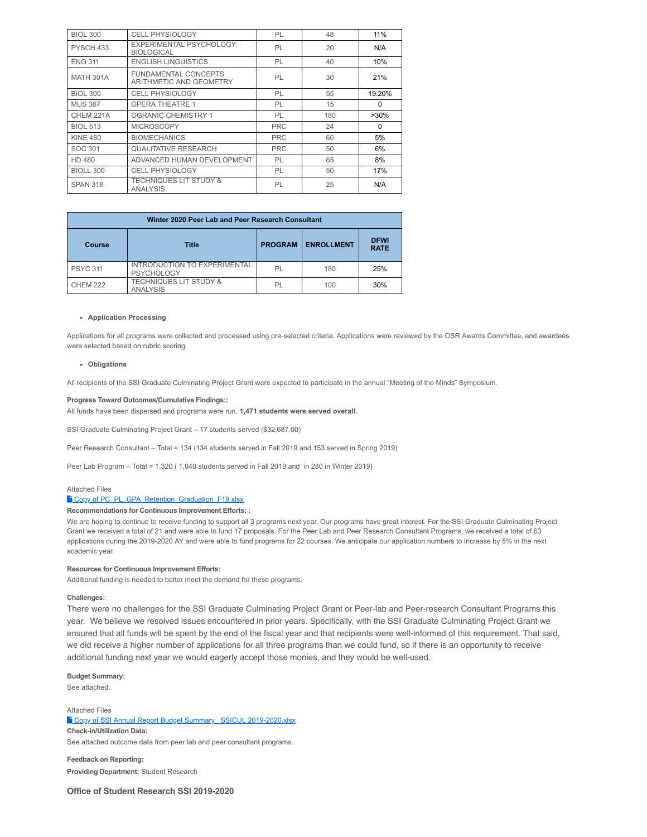| <b>BIOL 300</b>  | <b>CELL PHYSIOLOGY</b>                                 | PL         | 48  | 11%      |
|------------------|--------------------------------------------------------|------------|-----|----------|
| PYSCH 433        | EXPERIMENTAL PSYCHOLOGY:<br><b>BIOLOGICAL</b>          | PL         | 20  | N/A      |
| <b>ENG 311</b>   | <b>ENGLISH LINGUISTICS</b>                             | PL         | 40  | 10%      |
| <b>MATH 301A</b> | <b>FUNDAMENTAL CONCEPTS</b><br>ARITHMETIC AND GEOMETRY | PL         | 30  | 21%      |
| <b>BIOL 300</b>  | CELL PHYSIOLOGY                                        | PL         | 55  | 19.20%   |
| <b>MUS 387</b>   | <b>OPERA THEATRE 1</b>                                 | PL         | 15  | $\Omega$ |
| CHEM 221A        | <b>OGRANIC CHEMISTRY 1</b>                             | PL         | 180 | $>30\%$  |
| <b>BIOL 513</b>  | <b>MICROSCOPY</b>                                      | <b>PRC</b> | 24  | $\Omega$ |
| <b>KINE 480</b>  | <b>BIOMECHANICS</b>                                    | <b>PRC</b> | 60  | 5%       |
| SOC 301          | <b>QUALITATIVE RESEARCH</b>                            | <b>PRC</b> | 50  | 6%       |
| <b>HD 480</b>    | ADVANCED HUMAN DEVELOPMENT                             | PL         | 65  | 8%       |
| BIOLL 300        | <b>CELL PHYSIOLOGY</b>                                 | PL         | 50  | 17%      |
| <b>SPAN 318</b>  | <b>TECHNIQUES LIT STUDY &amp;</b><br><b>ANALYSIS</b>   | PL         | 25  | N/A      |

| Winter 2020 Peer Lab and Peer Research Consultant |                                                          |                |                   |                            |  |  |
|---------------------------------------------------|----------------------------------------------------------|----------------|-------------------|----------------------------|--|--|
| Course                                            | <b>Title</b>                                             | <b>PROGRAM</b> | <b>ENROLLMENT</b> | <b>DFWI</b><br><b>RATE</b> |  |  |
| <b>PSYC 311</b>                                   | <b>INTRODUCTION TO EXPERIMENTAL</b><br><b>PSYCHOLOGY</b> | PL             | 180               | 25%                        |  |  |
| <b>CHEM 222</b>                                   | <b>TECHNIQUES LIT STUDY &amp;</b><br><b>ANALYSIS</b>     | PI             | 100               | 30%                        |  |  |

## **Application Processing**

Applications for all programs were collected and processed using pre-selected criteria. Applications were reviewed by the OSR Awards Committee, and awardees were selected based on rubric scoring.

# **Obligations**

All recipients of the SSI Graduate Culminating Project Grant were expected to participate in the annual "Meeting of the Minds" Symposium.

# **Progress Toward Outcomes/Cumulative Findings::**

All funds have been dispersed and programs were run. **1,471 students were served overall.**

SSI Graduate Culminating Project Grant – 17 students served (\$32,687.00)

Peer Research Consultant – Total = 134 (134 students served in Fall 2019 and 153 served in Spring 2019)

Peer Lab Program – Total = 1,320 ( 1,040 students served in Fall 2019 and in 280 in Winter 2019)

## Attached Files

# Copy of PC\_PL\_GPA\_Retention\_Graduation\_F19.xlsx

**Recommendations for Continuous Improvement Efforts: :**

We are hoping to continue to receive funding to support all 3 programs next year. Our programs have great interest. For the SSI Graduate Culminating Project Grant we received a total of 21 and were able to fund 17 proposals. For the Peer Lab and Peer Research Consultant Programs, we received a total of 63 applications during the 2019-2020 AY and were able to fund programs for 22 courses. We anticipate our application numbers to increase by 5% in the next academic year.

# **Resources for Continuous Improvement Efforts:**

Additional funding is needed to better meet the demand for these programs.

# **Challenges:**

There were no challenges for the SSI Graduate Culminating Project Grant or Peer-lab and Peer-research Consultant Programs this year. We believe we resolved issues encountered in prior years. Specifically, with the SSI Graduate Culminating Project Grant we ensured that all funds will be spent by the end of the fiscal year and that recipients were well-informed of this requirement. That said, we did receive a higher number of applications for all three programs than we could fund, so if there is an opportunity to receive additional funding next year we would eagerly accept those monies, and they would be well-used.

**Budget Summary:**

See attached.

Attached Files <sup>t</sup> Copy of SSI Annual Report Budget Summary \_SSICUL 2019-2020.xlsx **Check-in/Utilization Data:**

See attached outcome data from peer lab and peer consultant programs.

**Feedback on Reporting: Providing Department:** Student Research

**Office of Student Research SSI 2019-2020**